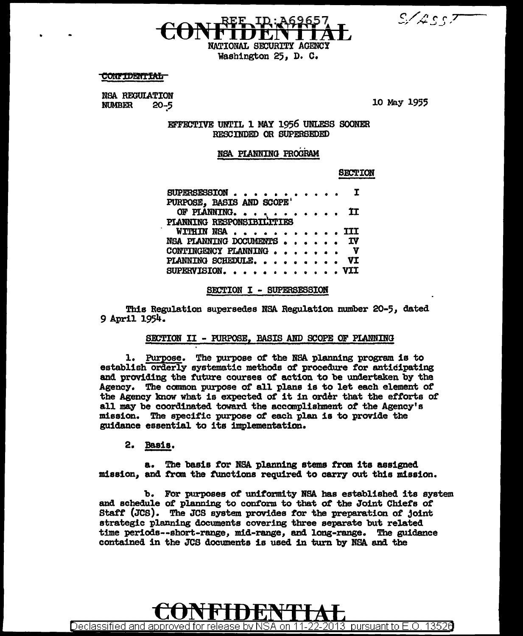$S/4557$ 

NATIONAL SECURITY AGENCY Washington 25, D. C.

**CONFIDENTIAL** 

**NSA REGULATION NUMBER**  $20 - 5$ 

10 May 1955

EFFECTIVE UNTIL 1 MAY 1956 UNLESS SOONER RESCINDED OR SUPERSEDED

### NSA PLANNING PROGRAM

**SECTION** 

| SUPERSESSION I            |  |
|---------------------------|--|
| PURPOSE, BASIS AND SCOPE' |  |
| OF PLANNING II            |  |
| PLANNING RESPONSIBILTTIES |  |
| WITHIN NSA III            |  |
| NSA PLANNING DOCUMENTS IV |  |
| CONTINGENCY PLANNING V    |  |
| PLANNING SCHEDULE. VI     |  |
| SUPERVISION. VII          |  |

SECTION I - SUPERSESSION

This Regulation supersedes NSA Regulation number 20-5, dated 9 April 1954.

### SECTION II - FURPOSE, BASIS AND SCOPE OF PLANNING

1. Purpose. The purpose of the NSA planning program is to establish orderly systematic methods of procedure for anticipating and providing the future courses of action to be undertaken by the Agency. The common purpose of all plans is to let each element of the Agency know what is expected of it in order that the efforts of all may be coordinated toward the accomplishment of the Agency's mission. The specific purpose of each plan is to provide the guidance essential to its implementation.

2. Basis.

The basis for NSA planning stems from its assigned **A.** mission, and from the functions required to carry out this mission.

b. For purposes of uniformity NSA has established its system and schedule of planning to conform to that of the Joint Chiefs of Staff (JCS). The JCS system provides for the preparation of joint strategic planning documents covering three separate but related time periods--short-range, mid-range, and long-range. The guidance contained in the JCS documents is used in turn by NSA and the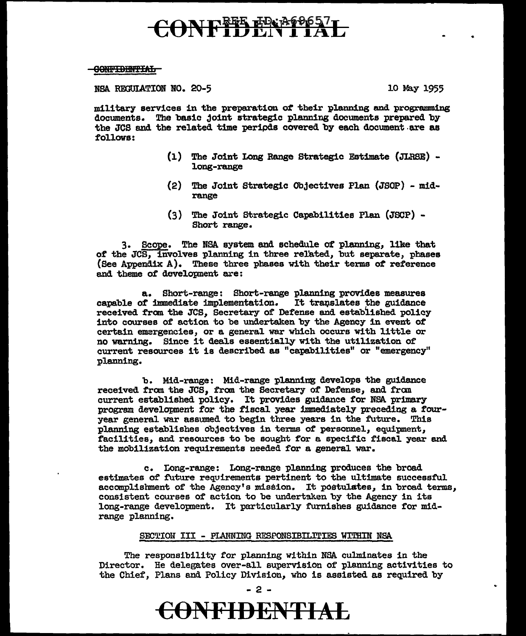# CONFIDENTIAL

### 99lf.HBBlf!:Elm

### NSA REGULATION NO. 20-5 10 May 1955

military services in the preparation of their planning and programming documents. The basic joint strategic planning documents prepared by the JCS and the related time periods covered by each document are as follows:

- (l) The Joint Long Range Strategic Estimate (JLRSE) long-range
- (2) The Joint Strategic Objectives Plan (JSOP) midrange
- $(3)$  The Joint Strategic Capabilities Plan  $(JSCP)$  -Short range.

3. Scope. The NSA system and schedule of planning, like that of the JCS, involves planning in three related, but separate, phases (See Appendix A). These three phases with their terms *ot* reference and theme of development are:

a. Short-range: Short-range planning provides measures capable of immediate implementation. It translates the guidance received fran the JCS, Secretary of Defense and established policy into courses of action to be undertaken by the Agency in event *ot*  certain emargencies, or a general war which occurs with little or no warning. Since 1t deals essentially with the utilization of current resources it is described as "capabilities" or "emergency" planning.

b. Mid-range: Mid-range planning develops the guidance received from the JCS, from the Secretary of Defense, and from current established policy. It provides guidance for NSA primary program development for the fiscal year immediately preceding a fouryear general war assumed to begin three years in the future. This planning establishes objectives in terms *ot* personnel, equipment, facilities, and resources to be sought for a specific fiscal year and the mobilization requirements needed for a general war.

c. Long-range: Long-range planning produces the broad estimates of future requirements pertinent to the ultimate successful accomplishment of the Agency's mission. It postulates, in broad terms, consistent courses of action to be undertaken by the Agency in its long-range development. It particularly furnishes guidance for midrange planning.

#### SECTION III - PLANNING RESPONSIBILITIES WITHIN NSA

The responsibility for planning within NSA culminates in the Director. He delegates over-all supervision of planning activities to the Chief, Plans and Policy Division, who is assisted as required by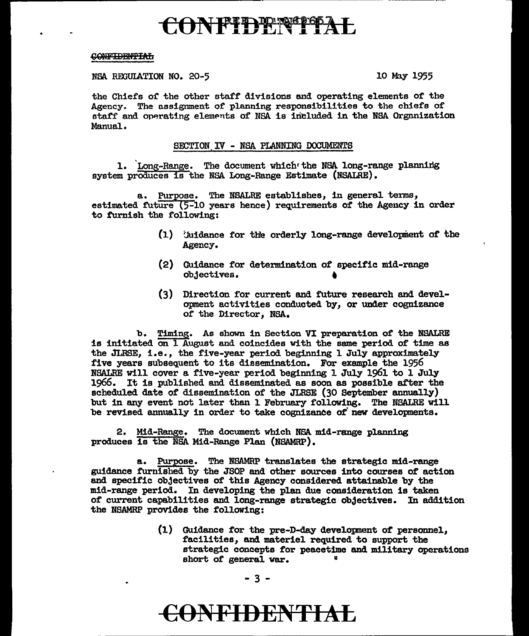# ONFIDENTIA

### CONFIDENTIAL

NSA REGULATION NO. 20-5

10 May 1955

the Chiefs of the other staff divisions and operating elements of the Agency. The assignment of planning responsibilities to the chiefs of staff and operating elements of NSA is included in the NSA Organization Manual.

### SECTION IV - NSA PLANNING DOCUMENTS

1. Long-Range. The document which the NSA long-range planning system produces is the NSA Long-Range Estimate (NSALRE).

a. Purpose. The NSALRE establishes, in general terms, estimated future (5-10 years hence) requirements of the Agency in order to furnish the following:

- (1) (Aidance for the orderly long-range development of the Agency.
- (2) Guidance for determination of specific mid-range objectives.
- (3) Direction for current and future research and development activities conducted by, or under cognizance of the Director, NSA.

b. Timing. As shown in Section VI preparation of the NSALRE is initiated on 1 August and coincides with the same period of time as the JIRSE, i.e., the five-year period beginning 1 July approximately five years subsequent to its dissemination. For example the 1956 NSALRE will cover a five-year period beginning 1 July 1961 to 1 July 1966. It is published and disseminated as soon as possible after the scheduled date of dissemination of the JIRSE (30 September annually) but in any event not later than 1 February following. The NSALRE will be revised annually in order to take cognizance of new developments.

2. Mid-Range. The document which N5A mid-range planning produces is the NSA Mid-Range Plan (NSAMRP).

a. Purpose. The NSAMRP translates the strategic mid-range guidance furnished by the JSOP and other sources into courses of action and specific objectives of this Agency considered attainable by the mid-range period. In developing the plan due consideration is taken of current capabilities and long-range strategic objectives. In addition the NSAMRP provides the following:

> (1) Guidance for the pre-D-day development of personnel, facilities, and materiel required to support the strategic concepts for peacetime and military operations short of general war.

## CONFIDENTIAL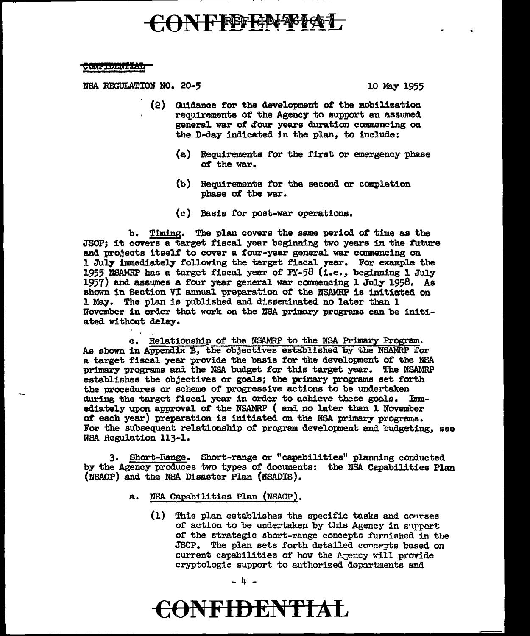## CONFFEENT TAL

#### <del>CONFIDENTIAL</del>

NSA REGULATION NO. 20-5

10 May 1955

- (2) Guidance for the development of the mobilization requirements of the Agency to support an assumed general war of four years duration commencing on the D-day indicated in the plan, to include:
	- (a) Requirements for the first or emergency phase of the war.
	- (b) Requirements for the second or completion phase of the war.
	- (c) Basis for post-war operations.

b. Timing. The plan covers the same period of time as the JSOP; it covers a target fiscal year beginning two years in the future and projects itself to cover a four-year general war commencing on 1 July immediately following the target fiscal year. For example the 1955 NSAMRP has a target fiscal year of  $FY-58$  (i.e., beginning 1 July 1957) and assumes a four year general war commencing 1 July 1958. As shown in Section VI annual preparation of the NSAMRP is initiated on 1 May. The plan is published and disseminated no later than 1 November in order that work on the NSA primary programs can be initiated without delay.

c. Relationship of the NSAMRP to the NSA Primary Program. As shown in Appendix B, the objectives established by the NSAMRP for a target fiscal year provide the basis for the development of the NSA primary programs and the NSA budget for this target year. The NSAMRP establishes the objectives or goals; the primary programs set forth the procedures or scheme of progressive actions to be undertaken during the target fiscal year in order to achieve these goals. Immediately upon approval of the NSAMRP (and no later than 1 November of each year) preparation is initiated on the NSA primary programs. For the subsequent relationship of program development and budgeting, see NSA Regulation 113-1.

3. Short-Range. Short-range or "capabilities" planning conducted by the Agency produces two types of documents: the NSA Capabilities Plan (NSACP) and the NSA Disaster Plan (NSADIS).

- NSA Capabilities Plan (NSACP). a.
	- $(1)$ This plan establishes the specific tasks and courses of action to be undertaken by this Agency in surport of the strategic short-range concepts furnished in the JSCP. The plan sets forth detailed concepts based on current capabilities of how the Agency will provide cryptologic support to authorized departments and

 $-1 -$ 

## <del>CONFIDENTIAL</del>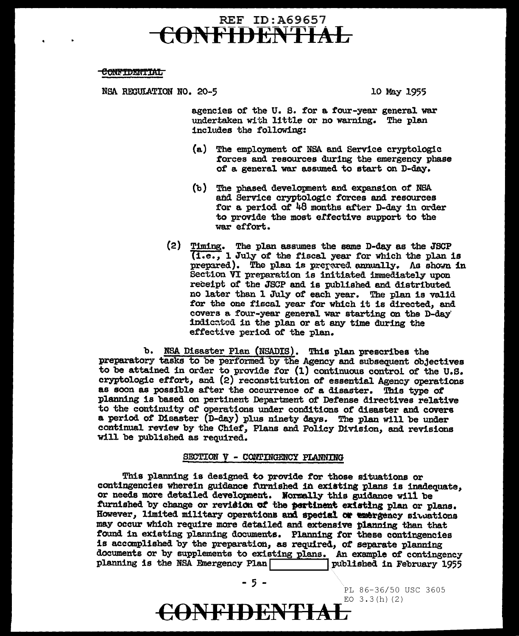### REF ID:A69657 ONFIDENTIAL

### **CONFIDENTIAL**

NSA REGULATION NO. 20-5 10 May 1955

agencies of the U. s. for a four-year general war undertaken with little or no warning. The plan includes the following:

- (a) The employment of NSA and Service cryptologic forces and resources during the emergency phase of a general war assumed to start on D-day.
- (b) The phased development and expansion of NSA and Service cryptologic forces and. resources for a period of  $48$  months after D-day in order to provide the most erfective support to the war effort.
- (2) Timing. The plan assumes the same D-day as the JSCP  $\overline{(1.e., 1 July of the fiscal year for which the plan is})$ prepared). The plan is prepared annually. As shown in Section VI preparation is initiated immediately upon receipt of the JSCP and is published and distributed no later than l July of each year. The plan is valid for the one fiscal year for which it is directed, and covers a. four-year general war starting on the D-day' indic~tod in the plan or at any time during the effective period of the plan.

b. NSA Disaster Plan (NSADIS). This plan prescribes the preparatory tasks to be performed by the Agency and subsequent objectives to be attained in order to provide for  $(1)$  continuous control of the U.S. cryptologic ettort, and (2) reconstitution of essential Agency operations as soon as possible after the occurrence of a disaster. This type of planning is based on pertinent Department of' Defense directives relative to the continuity of operations under conditions of disaster and covers a period of Disaster (D-day) plus ninety days. The plan will be under continual review by the Chief', Plans and Policy Division, and revisions will be published as required.

### SECTION V - CONTINGENCY PLANNING

This planning is designed to provide *tor* those situations or contingencies wherein guidance furnished in existing plans is inadequate, or needs more detailed development. Normally this guidance will be furnished by change or revision of the pertinent existing plan or plans. However, limited military operations and special or emergency situations may occur which require more detailed and extensive planning than that found in existing planning documents. Planning tor these contingencies is accomplished by the preparation, as required, ot separate planning documents or by supplements to existing plans. An example *ot* contingency planning is the NSA Emergency Plan  $\overline{\phantom{a}}$ 

 $-$  5  $-$  PL 86-36/50 USC 3605 EO  $3.3(h)(2)$ **CONFIDENTIAL**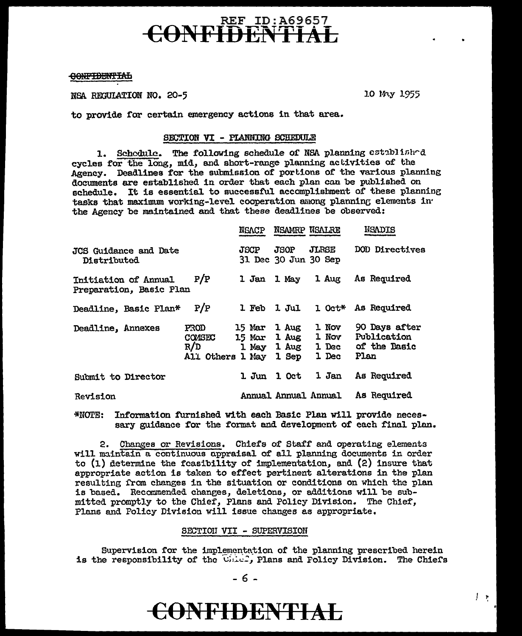### REF ID:A69657 **CONFIDENTIAL**

### OONFIDENTIAL

NSA REGULATION NO. 20-5 10 My 1955

to provide for certain emergency actions in that area.

### SECTION VI - PLANNING SCHEDULE

1. Schedule. The following schedule of NSA planning established cycles for the long, mid, and short-range planning activities of the Agency. Deadlines for the submission of portions of the various planning documents are established in order that each plan can be published on schedule. It is essential to successful accomplishment of these planning tasks that maximum working-level cooperation among planning elements in the Agency be maintained and that these deadlines be observed:

|                                                 |                                           | NGACP                            | NSAMRP NSALRE                |                                                            | NSADIS                                               |
|-------------------------------------------------|-------------------------------------------|----------------------------------|------------------------------|------------------------------------------------------------|------------------------------------------------------|
| JCS Guidance and Date<br><b>Distributed</b>     |                                           | <b>JSCP</b>                      | JSOP<br>31 Dec 30 Jun 30 Sep | JLRSE                                                      | DOD Directives                                       |
| Initiation of Annual<br>Preparation, Basic Plan | P/P                                       | 1 Jan                            | 1 May                        | 1 Aug                                                      | As Required                                          |
| Deadline, Basic Plan*                           | P/P                                       | 1 Feb                            | 1 Jul                        | l Oct*                                                     | As Required                                          |
| Deadline, Annexes                               | PROD<br>COMSEC<br>R/D<br>All Others 1 May | 15 Mar<br><b>15 Mar</b><br>1 May | 1 Aug<br>1 Aug<br>1 Sep      | 1 Nov<br>1 Nov<br>$1 \text{ Aug } 1 \text{ Dec }$<br>1 Dec | 90 Days after<br>Publication<br>of the Basic<br>Plan |
| Submit to Director                              |                                           | 1. Jun                           | 1 Oct                        | 1 Jan                                                      | As Required                                          |
| Revision                                        |                                           |                                  | Annual Annual Annual         |                                                            | As Required                                          |

\*NOTE: Information furnished with each Basic Plan will provide necessary guidance for the format and development of each final plan.

2. Changes or Revisions. Chiefs of Staff and operating elements will maintain a continuous appraisal of all planning documents in order to (1) determine the feasibility of implementation, and (2) insure that appropriate action is taken to effect pertinent alterations in the plan resulting from changes in the situation or conditions on which the plan is based. Recommended changes, deletions, or additions will be submitted promptly to the Chief, Plans and Policy Division. The Chief, Plans and Policy Division will issue changes as appropriate.

### SECTION VII - SUPERVISION

Supervision for the implementation of the planning prescribed herein is the responsibility of the  $\lim_{n\to\infty}$  Plans and Policy Division. The Chief's

## **CONFIDENTIAL**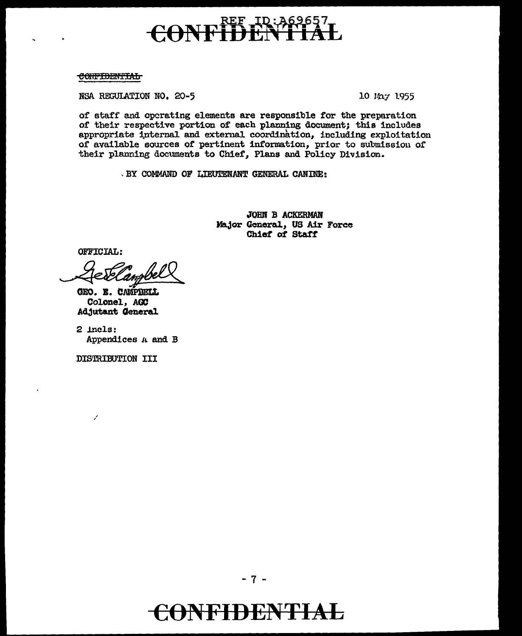### <u> ID:A6</u> CON

CONFIDENTIAL

NSA REGULATION NO. 20-5

10 May 1955

of staff and operating elements are responsible for the preparation of their respective portion of each planning document; this includes appropriate internal and external coordination, including exploitation of available sources of pertinent information, prior to submission of their planning documents to Chief, Plans and Policy Division.

. BY COMMAND OF LIEUTENANT GENERAL CANINE:

JOHN B ACKERMAN Major General, US Air Force Chief of Staff

OFFICIAL:

GEO. E. CAMPBELL Colonel, AGC Adjutant General

 $2$  incls: Appendices A and B

DISTRIBUTION III

t,

CONFIDENTIAL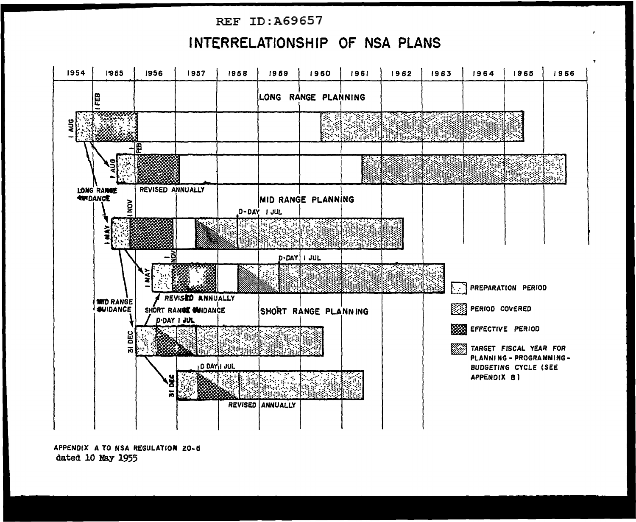### REF ID:A69657

### **INTERRELATIONSHIP OF NSA PLANS**



APPENDIX A TO NSA REGULATION Z0-5 dated 10 May 1955